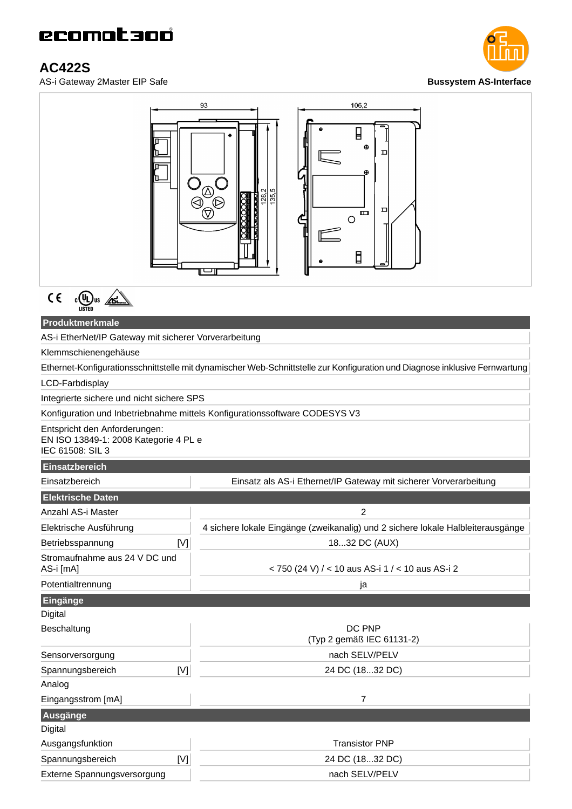## **AC422S**

AS-i Gateway 2Master EIP Safe **Bussystem AS-Interface**





 $C \in$  $\frac{1}{\sqrt{15}}$   $\frac{1}{\sqrt{15}}$   $\frac{1}{\sqrt{15}}$ 

### **Produktmerkmale**

AS-i EtherNet/IP Gateway mit sicherer Vorverarbeitung

Klemmschienengehäuse

Ethernet-Konfigurationsschnittstelle mit dynamischer Web-Schnittstelle zur Konfiguration und Diagnose inklusive Fernwartung

LCD-Farbdisplay

Integrierte sichere und nicht sichere SPS

#### Konfiguration und Inbetriebnahme mittels Konfigurationssoftware CODESYS V3

Entspricht den Anforderungen: EN ISO 13849-1: 2008 Kategorie 4 PL e IEC 61508: SIL 3

### **Einsatzbereich**

| Einsatzbereich                             | Einsatz als AS-i Ethernet/IP Gateway mit sicherer Vorverarbeitung               |  |
|--------------------------------------------|---------------------------------------------------------------------------------|--|
| <b>Elektrische Daten</b>                   |                                                                                 |  |
| Anzahl AS-i Master                         | 2                                                                               |  |
| Elektrische Ausführung                     | 4 sichere lokale Eingänge (zweikanalig) und 2 sichere lokale Halbleiterausgänge |  |
| Betriebsspannung                           | 1832 DC (AUX)<br>[V]                                                            |  |
| Stromaufnahme aus 24 V DC und<br>AS-i [mA] | < 750 (24 V) / < 10 aus AS-i 1 / < 10 aus AS-i 2                                |  |
| Potentialtrennung                          | ja                                                                              |  |
| Eingänge                                   |                                                                                 |  |
| Digital                                    |                                                                                 |  |
| Beschaltung                                | DC PNP<br>(Typ 2 gemäß IEC 61131-2)                                             |  |
| Sensorversorgung                           | nach SELV/PELV                                                                  |  |
| Spannungsbereich                           | 24 DC (1832 DC)<br>[N]                                                          |  |
| Analog                                     |                                                                                 |  |
| Eingangsstrom [mA]                         | 7                                                                               |  |
| Ausgänge                                   |                                                                                 |  |
| Digital                                    |                                                                                 |  |
| Ausgangsfunktion                           | <b>Transistor PNP</b>                                                           |  |
| Spannungsbereich                           | [V]<br>24 DC (1832 DC)                                                          |  |
| Externe Spannungsversorgung                | nach SELV/PELV                                                                  |  |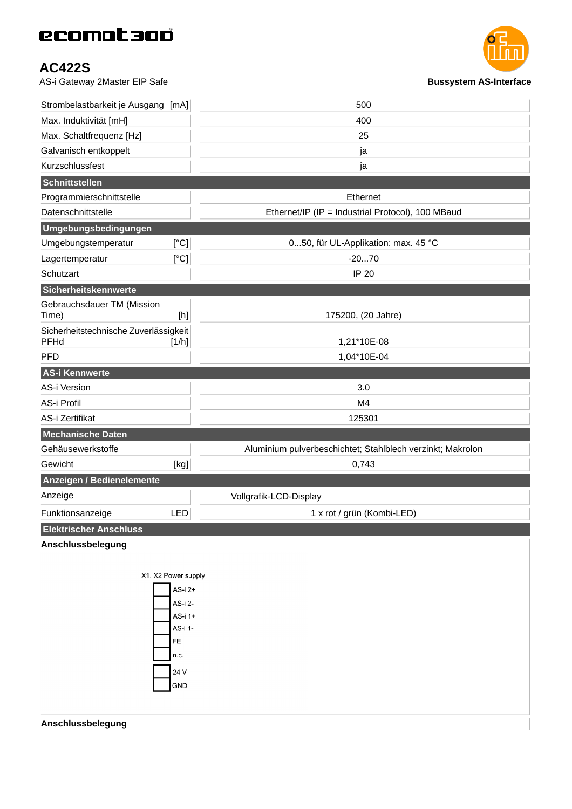## **AC422S**

AS-i Gateway 2Master EIP Safe **Bussystem AS-Interface Bussystem AS-Interface** 



| Strombelastbarkeit je Ausgang [mA]            |                                                                                                                                                                                                 | 500                                                        |
|-----------------------------------------------|-------------------------------------------------------------------------------------------------------------------------------------------------------------------------------------------------|------------------------------------------------------------|
| Max. Induktivität [mH]                        |                                                                                                                                                                                                 | 400                                                        |
| Max. Schaltfrequenz [Hz]                      |                                                                                                                                                                                                 | 25                                                         |
| Galvanisch entkoppelt                         |                                                                                                                                                                                                 | ja                                                         |
| Kurzschlussfest                               |                                                                                                                                                                                                 | ja                                                         |
| Schnittstellen                                |                                                                                                                                                                                                 |                                                            |
| Programmierschnittstelle                      |                                                                                                                                                                                                 | Ethernet                                                   |
| Datenschnittstelle                            |                                                                                                                                                                                                 | Ethernet/IP (IP = Industrial Protocol), 100 MBaud          |
| Umgebungsbedingungen                          |                                                                                                                                                                                                 |                                                            |
| Umgebungstemperatur                           | [°C]                                                                                                                                                                                            | 050, für UL-Applikation: max. 45 °C                        |
| Lagertemperatur                               | [°C]                                                                                                                                                                                            | $-2070$                                                    |
| Schutzart                                     |                                                                                                                                                                                                 | IP 20                                                      |
| Sicherheitskennwerte                          |                                                                                                                                                                                                 |                                                            |
| Gebrauchsdauer TM (Mission<br>Time)           | $[h] % \begin{center} % \includegraphics[width=\linewidth]{imagesSupplemental_3.png} % \end{center} % \caption { % Our method can be used for the proposed method. % } % \label{fig:example} %$ | 175200, (20 Jahre)                                         |
| Sicherheitstechnische Zuverlässigkeit<br>PFHd | [1/h]                                                                                                                                                                                           | 1,21*10E-08                                                |
| <b>PFD</b>                                    |                                                                                                                                                                                                 | 1,04*10E-04                                                |
| AS-i Kennwerte                                |                                                                                                                                                                                                 |                                                            |
| <b>AS-i Version</b>                           |                                                                                                                                                                                                 | 3.0                                                        |
| AS-i Profil                                   |                                                                                                                                                                                                 | M4                                                         |
| AS-i Zertifikat                               |                                                                                                                                                                                                 | 125301                                                     |
| <b>Mechanische Daten</b>                      |                                                                                                                                                                                                 |                                                            |
| Gehäusewerkstoffe                             |                                                                                                                                                                                                 | Aluminium pulverbeschichtet; Stahlblech verzinkt; Makrolon |
| Gewicht                                       | [kg]                                                                                                                                                                                            | 0,743                                                      |
| Anzeigen / Bedienelemente                     |                                                                                                                                                                                                 |                                                            |
| Anzeige                                       |                                                                                                                                                                                                 | Vollgrafik-LCD-Display                                     |
| Funktionsanzeige                              | <b>LED</b>                                                                                                                                                                                      | 1 x rot / grün (Kombi-LED)                                 |
| Elektrischer Anschluss                        |                                                                                                                                                                                                 |                                                            |
| Anschlussbelegung                             |                                                                                                                                                                                                 |                                                            |
|                                               | X1, X2 Power supply                                                                                                                                                                             |                                                            |
|                                               | AS-i 2+                                                                                                                                                                                         |                                                            |
|                                               | AS-i 2-                                                                                                                                                                                         |                                                            |
|                                               | AS-i 1+                                                                                                                                                                                         |                                                            |
|                                               | AS-i 1-<br>FE.                                                                                                                                                                                  |                                                            |
|                                               | n.c.                                                                                                                                                                                            |                                                            |
|                                               | 24 V                                                                                                                                                                                            |                                                            |
|                                               | GND                                                                                                                                                                                             |                                                            |
|                                               |                                                                                                                                                                                                 |                                                            |
|                                               |                                                                                                                                                                                                 |                                                            |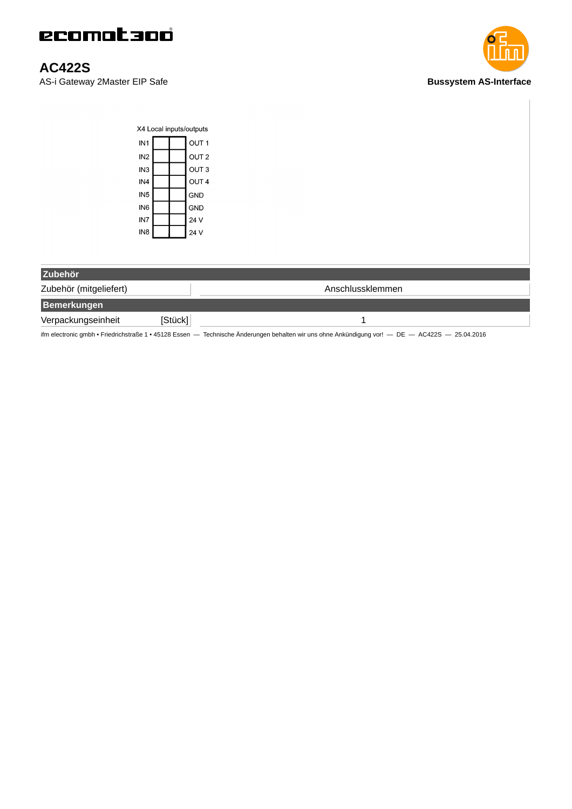

### **AC422S**

AS-i Gateway 2Master EIP Safe **Bussystem AS-Interface Bussystem AS-Interface** 



| X4 Local inputs/outputs |  |  |                  |
|-------------------------|--|--|------------------|
| IN <sub>1</sub>         |  |  | OUT <sub>1</sub> |
| IN <sub>2</sub>         |  |  | OUT <sub>2</sub> |
| IN <sub>3</sub>         |  |  | OUT <sub>3</sub> |
| IN <sub>4</sub>         |  |  | OUT <sub>4</sub> |
| IN <sub>5</sub>         |  |  | GND              |
| IN <sub>6</sub>         |  |  | GND              |
| IN <sub>7</sub>         |  |  | 24 V             |
| IN <sub>8</sub>         |  |  | 24 V             |

| Zubehör                |         |                  |
|------------------------|---------|------------------|
| Zubehör (mitgeliefert) |         | Anschlussklemmen |
| <b>Bemerkungen</b>     |         |                  |
| Verpackungseinheit     | [Stück] |                  |

ifm electronic gmbh • Friedrichstraße 1 • 45128 Essen — Technische Änderungen behalten wir uns ohne Ankündigung vor! — DE — AC422S — 25.04.2016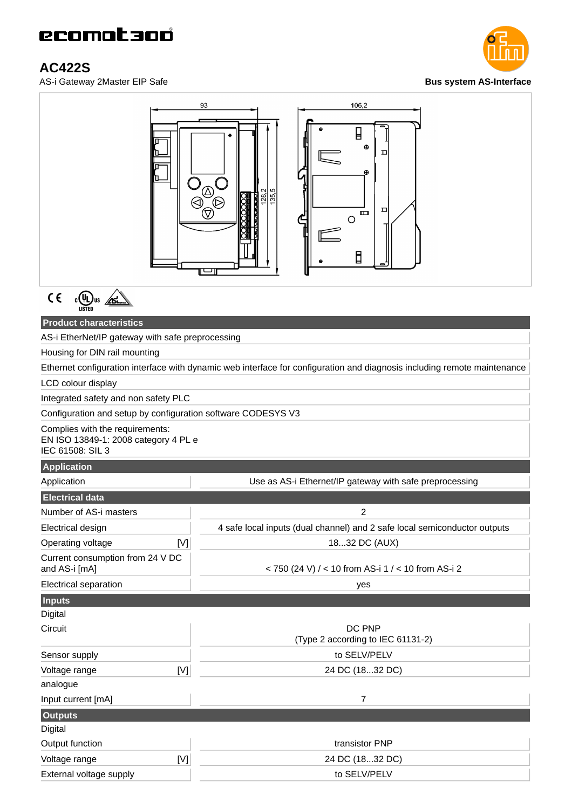## **AC422S**

AS-i Gateway 2Master EIP Safe **Bus system AS-Interface**





 $\frac{1}{\sqrt{10}}$ us  $\frac{1}{\sqrt{10}}$  $C \in$ 

### **Product characteristics**

AS-i EtherNet/IP gateway with safe preprocessing

Housing for DIN rail mounting

Ethernet configuration interface with dynamic web interface for configuration and diagnosis including remote maintenance

LCD colour display

Integrated safety and non safety PLC

Configuration and setup by configuration software CODESYS V3

Complies with the requirements: EN ISO 13849-1: 2008 category 4 PL e IEC 61508: SIL 3

### **Application**

| فالمتعاقلات المتعاقل المزادات<br>Application      | Use as AS-i Ethernet/IP gateway with safe preprocessing                   |  |  |
|---------------------------------------------------|---------------------------------------------------------------------------|--|--|
| <b>Electrical data</b>                            |                                                                           |  |  |
| Number of AS-i masters                            | $\overline{c}$                                                            |  |  |
| Electrical design                                 | 4 safe local inputs (dual channel) and 2 safe local semiconductor outputs |  |  |
| Operating voltage<br>[V]                          | 1832 DC (AUX)                                                             |  |  |
| Current consumption from 24 V DC<br>and AS-i [mA] | < 750 (24 V) / < 10 from AS-i 1 / < 10 from AS-i 2                        |  |  |
| Electrical separation                             | yes                                                                       |  |  |
| <b>Inputs</b>                                     |                                                                           |  |  |
| Digital                                           |                                                                           |  |  |
| Circuit                                           | DC PNP<br>(Type 2 according to IEC 61131-2)                               |  |  |
| Sensor supply                                     | to SELV/PELV                                                              |  |  |
| [V]<br>Voltage range                              | 24 DC (1832 DC)                                                           |  |  |
| analogue                                          |                                                                           |  |  |
| Input current [mA]                                | $\overline{7}$                                                            |  |  |
| <b>Outputs</b>                                    |                                                                           |  |  |
| Digital                                           |                                                                           |  |  |
| Output function                                   | transistor PNP                                                            |  |  |
| Voltage range<br>[V]                              | 24 DC (1832 DC)                                                           |  |  |
| External voltage supply                           | to SELV/PELV                                                              |  |  |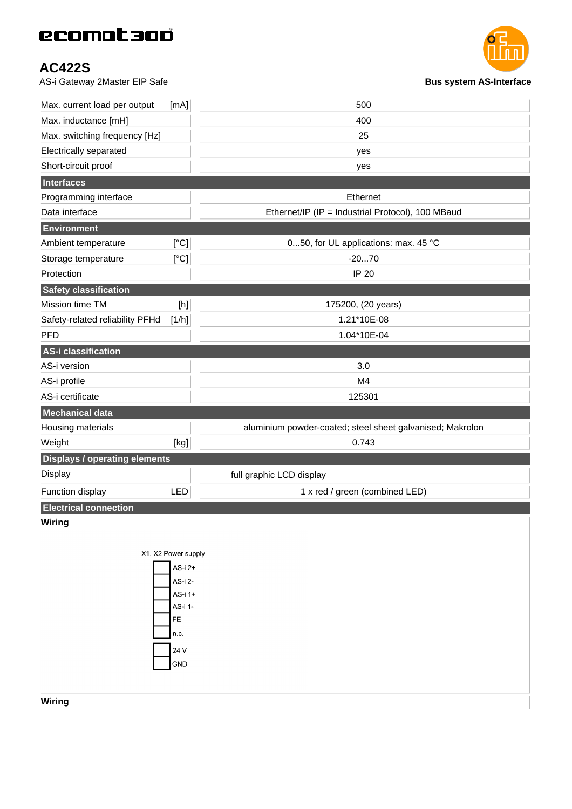## **AC422S**

AS-i Gateway 2Master EIP Safe **Bus system AS-Interface**



| 400<br>Max. inductance [mH]<br>Max. switching frequency [Hz]<br>25<br>Electrically separated<br>yes<br>Short-circuit proof<br>yes<br>Interfaces<br>Programming interface<br>Ethernet<br>Data interface<br>Ethernet/IP (IP = Industrial Protocol), 100 MBaud<br>Environment<br>050, for UL applications: max. 45 °C<br>[°C]<br>Ambient temperature<br>[°C]<br>$-2070$<br>Storage temperature<br>Protection<br><b>IP 20</b><br><b>Safety classification</b><br>Mission time TM<br>$[h] % \begin{center} % \includegraphics[width=\linewidth]{imagesSupplemental_3.png} % \end{center} % \caption { % Our method can be used for the proposed method. % Note that the \emph{exponent} is the \emph{exponent} and the \emph{exponent} is the \emph{exponent} and the \emph{exponent} is the \emph{exponent} and the \emph{exponent} is the \emph{exponent} and the \emph{exponent} is the \emph{exponent} and the \emph{exponent} is the \emph{exponent} and the \emph{exponent} is the \emph{exponent} and the \emph{exponent} is the \emph{exponent} and the \emph{exponent} is the \emph{exponent} and the \emph{exponent} is$<br>175200, (20 years)<br>[1/h]<br>1.21*10E-08<br>Safety-related reliability PFHd<br><b>PFD</b><br>1.04*10E-04<br>AS-i classification<br>AS-i version<br>3.0<br>AS-i profile<br>M <sub>4</sub><br>AS-i certificate<br>125301<br><b>Mechanical data</b><br>Housing materials<br>aluminium powder-coated; steel sheet galvanised; Makrolon<br>$[kg]$<br>0.743<br>Weight<br><b>Displays / operating elements</b><br><b>Display</b><br>full graphic LCD display<br>LED<br>Function display<br>1 x red / green (combined LED)<br><b>Electrical connection</b><br>Wiring<br>X1, X2 Power supply<br>AS-i 2+<br>AS-i 2-<br>AS-i 1+ | Max. current load per output | [mA] | 500 |
|---------------------------------------------------------------------------------------------------------------------------------------------------------------------------------------------------------------------------------------------------------------------------------------------------------------------------------------------------------------------------------------------------------------------------------------------------------------------------------------------------------------------------------------------------------------------------------------------------------------------------------------------------------------------------------------------------------------------------------------------------------------------------------------------------------------------------------------------------------------------------------------------------------------------------------------------------------------------------------------------------------------------------------------------------------------------------------------------------------------------------------------------------------------------------------------------------------------------------------------------------------------------------------------------------------------------------------------------------------------------------------------------------------------------------------------------------------------------------------------------------------------------------------------------------------------------------------------------------------------------------------------------------------------------------------------------------------------------------------------------------------|------------------------------|------|-----|
|                                                                                                                                                                                                                                                                                                                                                                                                                                                                                                                                                                                                                                                                                                                                                                                                                                                                                                                                                                                                                                                                                                                                                                                                                                                                                                                                                                                                                                                                                                                                                                                                                                                                                                                                                         |                              |      |     |
|                                                                                                                                                                                                                                                                                                                                                                                                                                                                                                                                                                                                                                                                                                                                                                                                                                                                                                                                                                                                                                                                                                                                                                                                                                                                                                                                                                                                                                                                                                                                                                                                                                                                                                                                                         |                              |      |     |
|                                                                                                                                                                                                                                                                                                                                                                                                                                                                                                                                                                                                                                                                                                                                                                                                                                                                                                                                                                                                                                                                                                                                                                                                                                                                                                                                                                                                                                                                                                                                                                                                                                                                                                                                                         |                              |      |     |
|                                                                                                                                                                                                                                                                                                                                                                                                                                                                                                                                                                                                                                                                                                                                                                                                                                                                                                                                                                                                                                                                                                                                                                                                                                                                                                                                                                                                                                                                                                                                                                                                                                                                                                                                                         |                              |      |     |
|                                                                                                                                                                                                                                                                                                                                                                                                                                                                                                                                                                                                                                                                                                                                                                                                                                                                                                                                                                                                                                                                                                                                                                                                                                                                                                                                                                                                                                                                                                                                                                                                                                                                                                                                                         |                              |      |     |
|                                                                                                                                                                                                                                                                                                                                                                                                                                                                                                                                                                                                                                                                                                                                                                                                                                                                                                                                                                                                                                                                                                                                                                                                                                                                                                                                                                                                                                                                                                                                                                                                                                                                                                                                                         |                              |      |     |
|                                                                                                                                                                                                                                                                                                                                                                                                                                                                                                                                                                                                                                                                                                                                                                                                                                                                                                                                                                                                                                                                                                                                                                                                                                                                                                                                                                                                                                                                                                                                                                                                                                                                                                                                                         |                              |      |     |
|                                                                                                                                                                                                                                                                                                                                                                                                                                                                                                                                                                                                                                                                                                                                                                                                                                                                                                                                                                                                                                                                                                                                                                                                                                                                                                                                                                                                                                                                                                                                                                                                                                                                                                                                                         |                              |      |     |
|                                                                                                                                                                                                                                                                                                                                                                                                                                                                                                                                                                                                                                                                                                                                                                                                                                                                                                                                                                                                                                                                                                                                                                                                                                                                                                                                                                                                                                                                                                                                                                                                                                                                                                                                                         |                              |      |     |
|                                                                                                                                                                                                                                                                                                                                                                                                                                                                                                                                                                                                                                                                                                                                                                                                                                                                                                                                                                                                                                                                                                                                                                                                                                                                                                                                                                                                                                                                                                                                                                                                                                                                                                                                                         |                              |      |     |
|                                                                                                                                                                                                                                                                                                                                                                                                                                                                                                                                                                                                                                                                                                                                                                                                                                                                                                                                                                                                                                                                                                                                                                                                                                                                                                                                                                                                                                                                                                                                                                                                                                                                                                                                                         |                              |      |     |
|                                                                                                                                                                                                                                                                                                                                                                                                                                                                                                                                                                                                                                                                                                                                                                                                                                                                                                                                                                                                                                                                                                                                                                                                                                                                                                                                                                                                                                                                                                                                                                                                                                                                                                                                                         |                              |      |     |
|                                                                                                                                                                                                                                                                                                                                                                                                                                                                                                                                                                                                                                                                                                                                                                                                                                                                                                                                                                                                                                                                                                                                                                                                                                                                                                                                                                                                                                                                                                                                                                                                                                                                                                                                                         |                              |      |     |
|                                                                                                                                                                                                                                                                                                                                                                                                                                                                                                                                                                                                                                                                                                                                                                                                                                                                                                                                                                                                                                                                                                                                                                                                                                                                                                                                                                                                                                                                                                                                                                                                                                                                                                                                                         |                              |      |     |
|                                                                                                                                                                                                                                                                                                                                                                                                                                                                                                                                                                                                                                                                                                                                                                                                                                                                                                                                                                                                                                                                                                                                                                                                                                                                                                                                                                                                                                                                                                                                                                                                                                                                                                                                                         |                              |      |     |
|                                                                                                                                                                                                                                                                                                                                                                                                                                                                                                                                                                                                                                                                                                                                                                                                                                                                                                                                                                                                                                                                                                                                                                                                                                                                                                                                                                                                                                                                                                                                                                                                                                                                                                                                                         |                              |      |     |
|                                                                                                                                                                                                                                                                                                                                                                                                                                                                                                                                                                                                                                                                                                                                                                                                                                                                                                                                                                                                                                                                                                                                                                                                                                                                                                                                                                                                                                                                                                                                                                                                                                                                                                                                                         |                              |      |     |
|                                                                                                                                                                                                                                                                                                                                                                                                                                                                                                                                                                                                                                                                                                                                                                                                                                                                                                                                                                                                                                                                                                                                                                                                                                                                                                                                                                                                                                                                                                                                                                                                                                                                                                                                                         |                              |      |     |
|                                                                                                                                                                                                                                                                                                                                                                                                                                                                                                                                                                                                                                                                                                                                                                                                                                                                                                                                                                                                                                                                                                                                                                                                                                                                                                                                                                                                                                                                                                                                                                                                                                                                                                                                                         |                              |      |     |
|                                                                                                                                                                                                                                                                                                                                                                                                                                                                                                                                                                                                                                                                                                                                                                                                                                                                                                                                                                                                                                                                                                                                                                                                                                                                                                                                                                                                                                                                                                                                                                                                                                                                                                                                                         |                              |      |     |
|                                                                                                                                                                                                                                                                                                                                                                                                                                                                                                                                                                                                                                                                                                                                                                                                                                                                                                                                                                                                                                                                                                                                                                                                                                                                                                                                                                                                                                                                                                                                                                                                                                                                                                                                                         |                              |      |     |
|                                                                                                                                                                                                                                                                                                                                                                                                                                                                                                                                                                                                                                                                                                                                                                                                                                                                                                                                                                                                                                                                                                                                                                                                                                                                                                                                                                                                                                                                                                                                                                                                                                                                                                                                                         |                              |      |     |
|                                                                                                                                                                                                                                                                                                                                                                                                                                                                                                                                                                                                                                                                                                                                                                                                                                                                                                                                                                                                                                                                                                                                                                                                                                                                                                                                                                                                                                                                                                                                                                                                                                                                                                                                                         |                              |      |     |
|                                                                                                                                                                                                                                                                                                                                                                                                                                                                                                                                                                                                                                                                                                                                                                                                                                                                                                                                                                                                                                                                                                                                                                                                                                                                                                                                                                                                                                                                                                                                                                                                                                                                                                                                                         |                              |      |     |
|                                                                                                                                                                                                                                                                                                                                                                                                                                                                                                                                                                                                                                                                                                                                                                                                                                                                                                                                                                                                                                                                                                                                                                                                                                                                                                                                                                                                                                                                                                                                                                                                                                                                                                                                                         |                              |      |     |
|                                                                                                                                                                                                                                                                                                                                                                                                                                                                                                                                                                                                                                                                                                                                                                                                                                                                                                                                                                                                                                                                                                                                                                                                                                                                                                                                                                                                                                                                                                                                                                                                                                                                                                                                                         |                              |      |     |
|                                                                                                                                                                                                                                                                                                                                                                                                                                                                                                                                                                                                                                                                                                                                                                                                                                                                                                                                                                                                                                                                                                                                                                                                                                                                                                                                                                                                                                                                                                                                                                                                                                                                                                                                                         |                              |      |     |
|                                                                                                                                                                                                                                                                                                                                                                                                                                                                                                                                                                                                                                                                                                                                                                                                                                                                                                                                                                                                                                                                                                                                                                                                                                                                                                                                                                                                                                                                                                                                                                                                                                                                                                                                                         |                              |      |     |
|                                                                                                                                                                                                                                                                                                                                                                                                                                                                                                                                                                                                                                                                                                                                                                                                                                                                                                                                                                                                                                                                                                                                                                                                                                                                                                                                                                                                                                                                                                                                                                                                                                                                                                                                                         |                              |      |     |
|                                                                                                                                                                                                                                                                                                                                                                                                                                                                                                                                                                                                                                                                                                                                                                                                                                                                                                                                                                                                                                                                                                                                                                                                                                                                                                                                                                                                                                                                                                                                                                                                                                                                                                                                                         |                              |      |     |
|                                                                                                                                                                                                                                                                                                                                                                                                                                                                                                                                                                                                                                                                                                                                                                                                                                                                                                                                                                                                                                                                                                                                                                                                                                                                                                                                                                                                                                                                                                                                                                                                                                                                                                                                                         |                              |      |     |
| AS-i 1-                                                                                                                                                                                                                                                                                                                                                                                                                                                                                                                                                                                                                                                                                                                                                                                                                                                                                                                                                                                                                                                                                                                                                                                                                                                                                                                                                                                                                                                                                                                                                                                                                                                                                                                                                 |                              |      |     |

FE  $n.c.$ 24 V GND

**Wiring**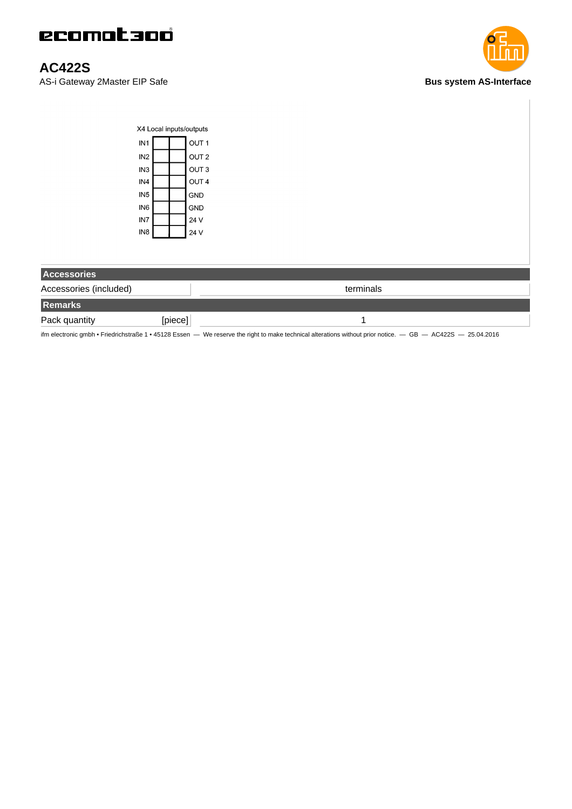

### **AC422S**

AS-i Gateway 2Master EIP Safe **Bus system AS-Interface**



| X4 Local inputs/outputs |  |  |                  |
|-------------------------|--|--|------------------|
| IN <sub>1</sub>         |  |  | OUT <sub>1</sub> |
| IN <sub>2</sub>         |  |  | OUT <sub>2</sub> |
| IN <sub>3</sub>         |  |  | OUT <sub>3</sub> |
| IN4                     |  |  | OUT <sub>4</sub> |
| IN <sub>5</sub>         |  |  | GND              |
| IN <sub>6</sub>         |  |  | GND              |
| IN7                     |  |  | 24 V             |
| IN <sub>8</sub>         |  |  | 24 V             |

| <b>Accessories</b>     |         |           |
|------------------------|---------|-----------|
| Accessories (included) |         | terminals |
| Remarks                |         |           |
| Pack quantity          | [piece] |           |

ifm electronic gmbh • Friedrichstraße 1 • 45128 Essen — We reserve the right to make technical alterations without prior notice. — GB — AC422S — 25.04.2016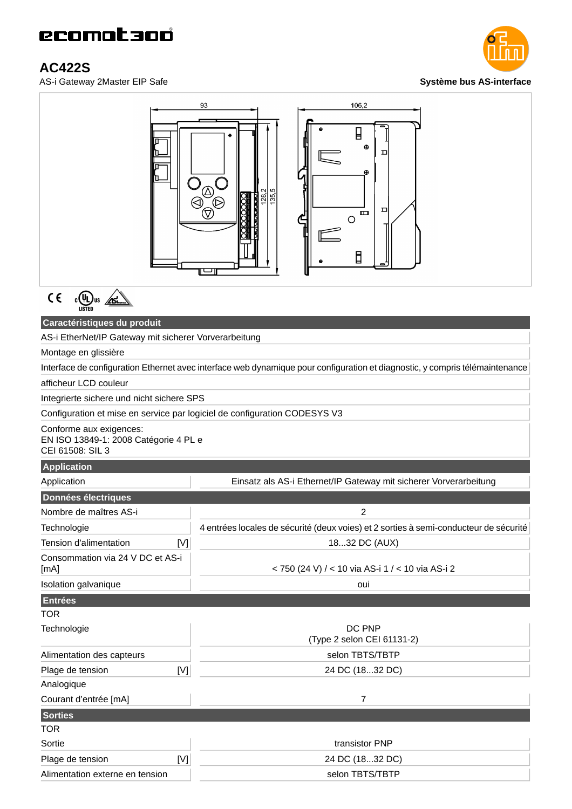# ecomataoó

## **AC422S**

AS-i Gateway 2Master EIP Safe **Système bus AS-interface**





### **Caractéristiques du produit**

AS-i EtherNet/IP Gateway mit sicherer Vorverarbeitung

Montage en glissière

Interface de configuration Ethernet avec interface web dynamique pour configuration et diagnostic, y compris télémaintenance

afficheur LCD couleur

Integrierte sichere und nicht sichere SPS

Configuration et mise en service par logiciel de configuration CODESYS V3

Conforme aux exigences:

EN ISO 13849-1: 2008 Catégorie 4 PL e CEI 61508: SIL 3

#### **Application**

| Application                              | Einsatz als AS-i Ethernet/IP Gateway mit sicherer Vorverarbeitung                     |
|------------------------------------------|---------------------------------------------------------------------------------------|
| Données électriques                      |                                                                                       |
| Nombre de maîtres AS-i                   | 2                                                                                     |
| Technologie                              | 4 entrées locales de sécurité (deux voies) et 2 sorties à semi-conducteur de sécurité |
| Tension d'alimentation<br>[V]            | 1832 DC (AUX)                                                                         |
| Consommation via 24 V DC et AS-i<br>[mA] | < 750 (24 V) / < 10 via AS-i 1 / < 10 via AS-i 2                                      |
| <b>Isolation galvanique</b>              | oui                                                                                   |
| <b>Entrées</b>                           |                                                                                       |
| TOR                                      |                                                                                       |
| Technologie                              | DC PNP<br>(Type 2 selon CEI 61131-2)                                                  |
| Alimentation des capteurs                | selon TBTS/TBTP                                                                       |
| Plage de tension<br>[V]                  | 24 DC (1832 DC)                                                                       |
| Analogique                               |                                                                                       |
| Courant d'entrée [mA]                    | 7                                                                                     |
| <b>Sorties</b>                           |                                                                                       |
| TOR                                      |                                                                                       |
| Sortie                                   | transistor PNP                                                                        |
| Plage de tension<br>[V]                  | 24 DC (1832 DC)                                                                       |
| Alimentation externe en tension          | selon TBTS/TBTP                                                                       |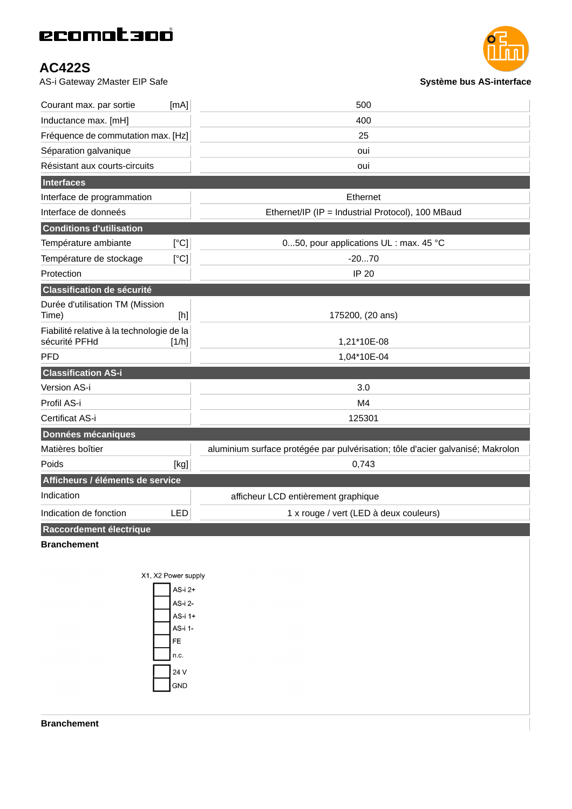# ecomataoó

### **AC422S**

AS-i Gateway 2Master EIP Safe **Système bus AS-interface**



| Courant max. par sortie                                    | [mA]       | 500                                                                            |
|------------------------------------------------------------|------------|--------------------------------------------------------------------------------|
| Inductance max. [mH]                                       |            | 400                                                                            |
| Fréquence de commutation max. [Hz]                         |            | 25                                                                             |
| Séparation galvanique                                      |            | oui                                                                            |
| Résistant aux courts-circuits                              |            | oui                                                                            |
| Interfaces                                                 |            |                                                                                |
| Interface de programmation                                 |            | Ethernet                                                                       |
| Interface de donneés                                       |            | Ethernet/IP (IP = Industrial Protocol), 100 MBaud                              |
| <b>Conditions d'utilisation</b>                            |            |                                                                                |
| Température ambiante                                       | [°C]       | 050, pour applications UL : max. 45 °C                                         |
| Température de stockage                                    | [°C]       | $-2070$                                                                        |
| Protection                                                 |            | <b>IP 20</b>                                                                   |
| <b>Classification de sécurité</b>                          |            |                                                                                |
| Durée d'utilisation TM (Mission<br>Time)                   |            | 175200, (20 ans)                                                               |
| Fiabilité relative à la technologie de la<br>sécurité PFHd | [1/h]      | 1,21*10E-08                                                                    |
| <b>PFD</b>                                                 |            | 1,04*10E-04                                                                    |
| <b>Classification AS-i</b>                                 |            |                                                                                |
| Version AS-i                                               |            | 3.0                                                                            |
| Profil AS-i                                                |            | M4                                                                             |
| Certificat AS-i                                            |            | 125301                                                                         |
| Données mécaniques                                         |            |                                                                                |
| Matières boîtier                                           |            | aluminium surface protégée par pulvérisation; tôle d'acier galvanisé; Makrolon |
| Poids                                                      | [kg]       | 0,743                                                                          |
| Afficheurs / éléments de service                           |            |                                                                                |
| Indication                                                 |            | afficheur LCD entièrement graphique                                            |
| Indication de fonction                                     | <b>LED</b> | 1 x rouge / vert (LED à deux couleurs)                                         |
| Raccordement électrique                                    |            |                                                                                |
| <b>Branchement</b>                                         |            |                                                                                |
|                                                            |            |                                                                                |
|                                                            |            |                                                                                |



**Branchement**